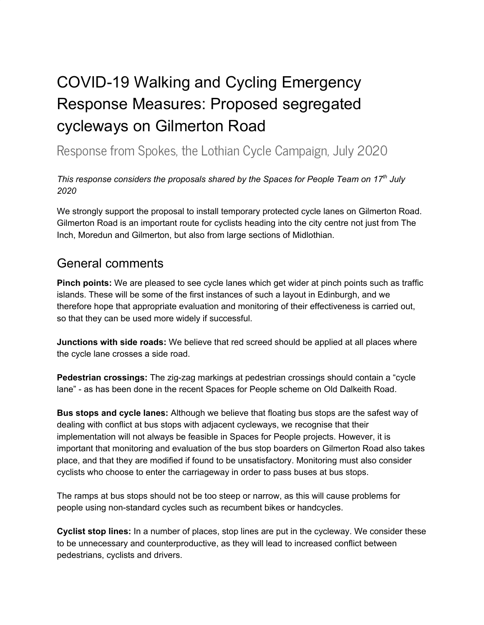## COVID-19 Walking and Cycling Emergency Response Measures: Proposed segregated cycleways on Gilmerton Road

Response from Spokes, the Lothian Cycle Campaign, July 2020

## *This response considers the proposals shared by the Spaces for People Team on 17 th July 2020*

We strongly support the proposal to install temporary protected cycle lanes on Gilmerton Road. Gilmerton Road is an important route for cyclists heading into the city centre not just from The Inch, Moredun and Gilmerton, but also from large sections of Midlothian.

## General comments

**Pinch points:** We are pleased to see cycle lanes which get wider at pinch points such as traffic islands. These will be some of the first instances of such a layout in Edinburgh, and we therefore hope that appropriate evaluation and monitoring of their effectiveness is carried out, so that they can be used more widely if successful.

**Junctions with side roads:** We believe that red screed should be applied at all places where the cycle lane crosses a side road.

**Pedestrian crossings:** The zig-zag markings at pedestrian crossings should contain a "cycle lane" - as has been done in the recent Spaces for People scheme on Old Dalkeith Road.

**Bus stops and cycle lanes:** Although we believe that floating bus stops are the safest way of dealing with conflict at bus stops with adjacent cycleways, we recognise that their implementation will not always be feasible in Spaces for People projects. However, it is important that monitoring and evaluation of the bus stop boarders on Gilmerton Road also takes place, and that they are modified if found to be unsatisfactory. Monitoring must also consider cyclists who choose to enter the carriageway in order to pass buses at bus stops.

The ramps at bus stops should not be too steep or narrow, as this will cause problems for people using non-standard cycles such as recumbent bikes or handcycles.

**Cyclist stop lines:** In a number of places, stop lines are put in the cycleway. We consider these to be unnecessary and counterproductive, as they will lead to increased conflict between pedestrians, cyclists and drivers.